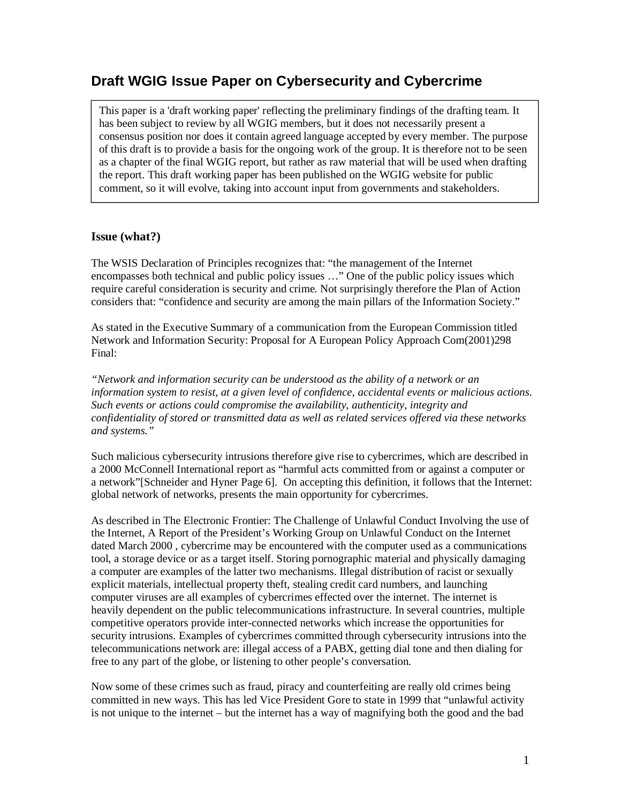# **Draft WGIG Issue Paper on Cybersecurity and Cybercrime**

This paper is a 'draft working paper' reflecting the preliminary findings of the drafting team. It has been subject to review by all WGIG members, but it does not necessarily present a consensus position nor does it contain agreed language accepted by every member. The purpose of this draft is to provide a basis for the ongoing work of the group. It is therefore not to be seen as a chapter of the final WGIG report, but rather as raw material that will be used when drafting the report. This draft working paper has been published on the WGIG website for public comment, so it will evolve, taking into account input from governments and stakeholders.

# **Issue (what?)**

The WSIS Declaration of Principles recognizes that: "the management of the Internet encompasses both technical and public policy issues …" One of the public policy issues which require careful consideration is security and crime. Not surprisingly therefore the Plan of Action considers that: "confidence and security are among the main pillars of the Information Society."

As stated in the Executive Summary of a communication from the European Commission titled Network and Information Security: Proposal for A European Policy Approach Com(2001)298 Final:

*"Network and information security can be understood as the ability of a network or an information system to resist, at a given level of confidence, accidental events or malicious actions. Such events or actions could compromise the availability, authenticity, integrity and confidentiality of stored or transmitted data as well as related services offered via these networks and systems."* 

Such malicious cybersecurity intrusions therefore give rise to cybercrimes, which are described in a 2000 McConnell International report as "harmful acts committed from or against a computer or a network"[Schneider and Hyner Page 6]. On accepting this definition, it follows that the Internet: global network of networks, presents the main opportunity for cybercrimes.

As described in The Electronic Frontier: The Challenge of Unlawful Conduct Involving the use of the Internet, A Report of the President's Working Group on Unlawful Conduct on the Internet dated March 2000 , cybercrime may be encountered with the computer used as a communications tool, a storage device or as a target itself. Storing pornographic material and physically damaging a computer are examples of the latter two mechanisms. Illegal distribution of racist or sexually explicit materials, intellectual property theft, stealing credit card numbers, and launching computer viruses are all examples of cybercrimes effected over the internet. The internet is heavily dependent on the public telecommunications infrastructure. In several countries, multiple competitive operators provide inter-connected networks which increase the opportunities for security intrusions. Examples of cybercrimes committed through cybersecurity intrusions into the telecommunications network are: illegal access of a PABX, getting dial tone and then dialing for free to any part of the globe, or listening to other people's conversation.

Now some of these crimes such as fraud, piracy and counterfeiting are really old crimes being committed in new ways. This has led Vice President Gore to state in 1999 that "unlawful activity is not unique to the internet – but the internet has a way of magnifying both the good and the bad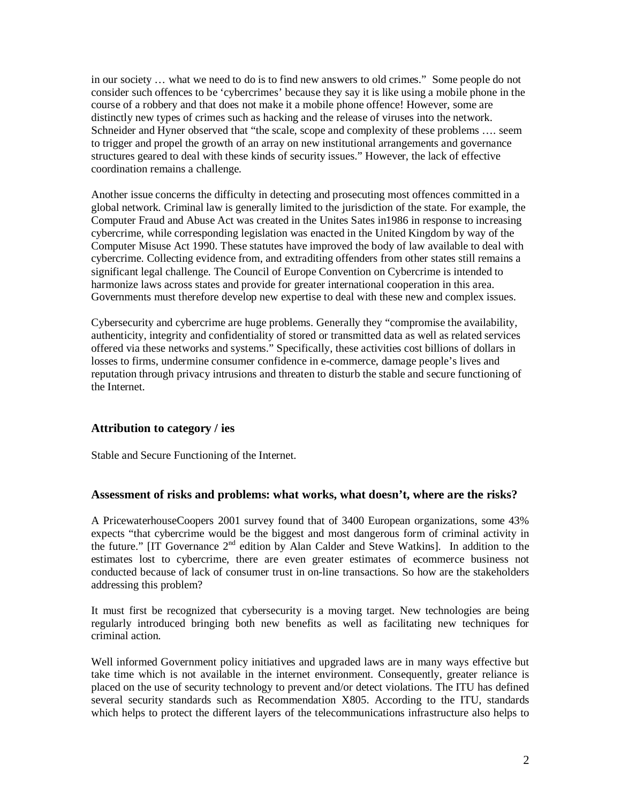in our society … what we need to do is to find new answers to old crimes." Some people do not consider such offences to be 'cybercrimes' because they say it is like using a mobile phone in the course of a robbery and that does not make it a mobile phone offence! However, some are distinctly new types of crimes such as hacking and the release of viruses into the network. Schneider and Hyner observed that "the scale, scope and complexity of these problems …. seem to trigger and propel the growth of an array on new institutional arrangements and governance structures geared to deal with these kinds of security issues." However, the lack of effective coordination remains a challenge.

Another issue concerns the difficulty in detecting and prosecuting most offences committed in a global network. Criminal law is generally limited to the jurisdiction of the state. For example, the Computer Fraud and Abuse Act was created in the Unites Sates in1986 in response to increasing cybercrime, while corresponding legislation was enacted in the United Kingdom by way of the Computer Misuse Act 1990. These statutes have improved the body of law available to deal with cybercrime. Collecting evidence from, and extraditing offenders from other states still remains a significant legal challenge. The Council of Europe Convention on Cybercrime is intended to harmonize laws across states and provide for greater international cooperation in this area. Governments must therefore develop new expertise to deal with these new and complex issues.

Cybersecurity and cybercrime are huge problems. Generally they "compromise the availability, authenticity, integrity and confidentiality of stored or transmitted data as well as related services offered via these networks and systems." Specifically, these activities cost billions of dollars in losses to firms, undermine consumer confidence in e-commerce, damage people's lives and reputation through privacy intrusions and threaten to disturb the stable and secure functioning of the Internet.

# **Attribution to category / ies**

Stable and Secure Functioning of the Internet.

### **Assessment of risks and problems: what works, what doesn't, where are the risks?**

A PricewaterhouseCoopers 2001 survey found that of 3400 European organizations, some 43% expects "that cybercrime would be the biggest and most dangerous form of criminal activity in the future." [IT Governance 2nd edition by Alan Calder and Steve Watkins]. In addition to the estimates lost to cybercrime, there are even greater estimates of ecommerce business not conducted because of lack of consumer trust in on-line transactions. So how are the stakeholders addressing this problem?

It must first be recognized that cybersecurity is a moving target. New technologies are being regularly introduced bringing both new benefits as well as facilitating new techniques for criminal action.

Well informed Government policy initiatives and upgraded laws are in many ways effective but take time which is not available in the internet environment. Consequently, greater reliance is placed on the use of security technology to prevent and/or detect violations. The ITU has defined several security standards such as Recommendation X805. According to the ITU, standards which helps to protect the different layers of the telecommunications infrastructure also helps to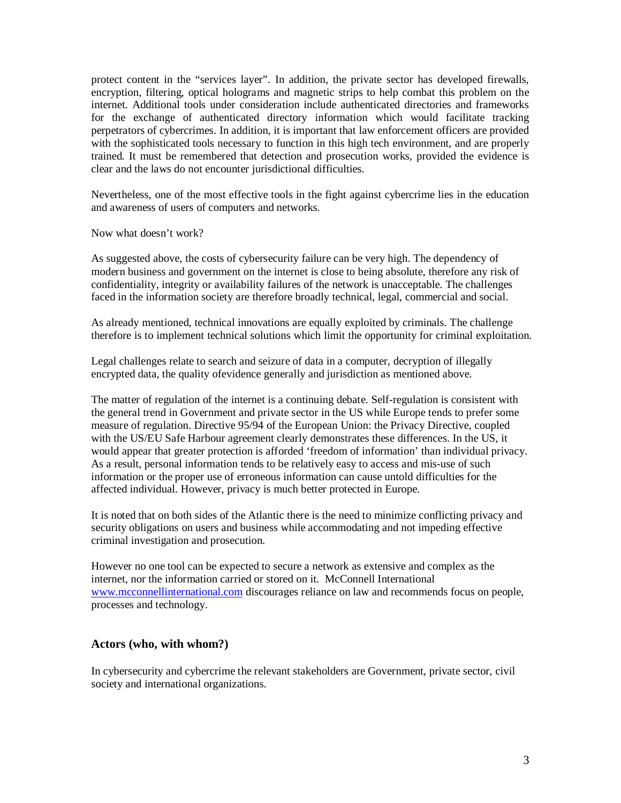protect content in the "services layer". In addition, the private sector has developed firewalls, encryption, filtering, optical holograms and magnetic strips to help combat this problem on the internet. Additional tools under consideration include authenticated directories and frameworks for the exchange of authenticated directory information which would facilitate tracking perpetrators of cybercrimes. In addition, it is important that law enforcement officers are provided with the sophisticated tools necessary to function in this high tech environment, and are properly trained. It must be remembered that detection and prosecution works, provided the evidence is clear and the laws do not encounter jurisdictional difficulties.

Nevertheless, one of the most effective tools in the fight against cybercrime lies in the education and awareness of users of computers and networks.

Now what doesn't work?

As suggested above, the costs of cybersecurity failure can be very high. The dependency of modern business and government on the internet is close to being absolute, therefore any risk of confidentiality, integrity or availability failures of the network is unacceptable. The challenges faced in the information society are therefore broadly technical, legal, commercial and social.

As already mentioned, technical innovations are equally exploited by criminals. The challenge therefore is to implement technical solutions which limit the opportunity for criminal exploitation.

Legal challenges relate to search and seizure of data in a computer, decryption of illegally encrypted data, the quality ofevidence generally and jurisdiction as mentioned above.

The matter of regulation of the internet is a continuing debate. Self-regulation is consistent with the general trend in Government and private sector in the US while Europe tends to prefer some measure of regulation. Directive 95/94 of the European Union: the Privacy Directive, coupled with the US/EU Safe Harbour agreement clearly demonstrates these differences. In the US, it would appear that greater protection is afforded 'freedom of information' than individual privacy. As a result, personal information tends to be relatively easy to access and mis-use of such information or the proper use of erroneous information can cause untold difficulties for the affected individual. However, privacy is much better protected in Europe.

It is noted that on both sides of the Atlantic there is the need to minimize conflicting privacy and security obligations on users and business while accommodating and not impeding effective criminal investigation and prosecution.

However no one tool can be expected to secure a network as extensive and complex as the internet, nor the information carried or stored on it. McConnell International www.mcconnellinternational.com discourages reliance on law and recommends focus on people, processes and technology.

# **Actors (who, with whom?)**

In cybersecurity and cybercrime the relevant stakeholders are Government, private sector, civil society and international organizations.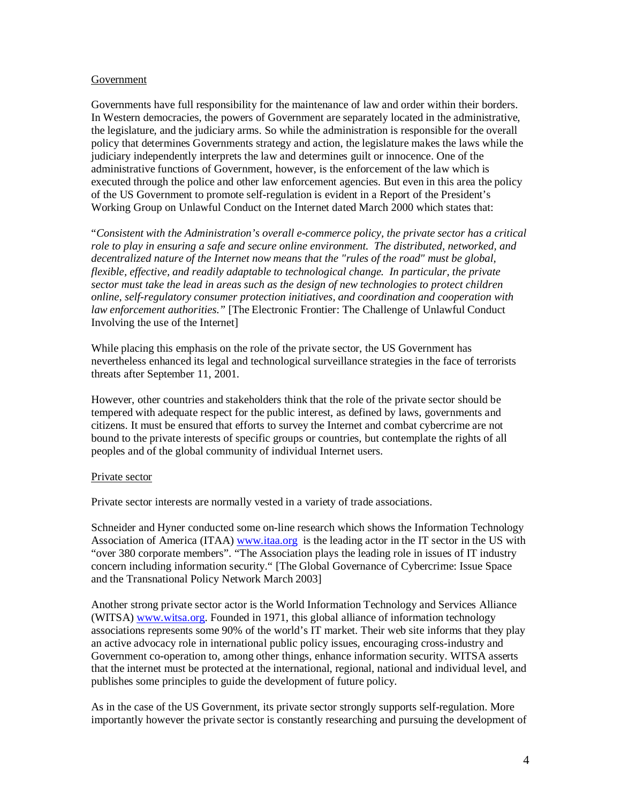#### **Government**

Governments have full responsibility for the maintenance of law and order within their borders. In Western democracies, the powers of Government are separately located in the administrative, the legislature, and the judiciary arms. So while the administration is responsible for the overall policy that determines Governments strategy and action, the legislature makes the laws while the judiciary independently interprets the law and determines guilt or innocence. One of the administrative functions of Government, however, is the enforcement of the law which is executed through the police and other law enforcement agencies. But even in this area the policy of the US Government to promote self-regulation is evident in a Report of the President's Working Group on Unlawful Conduct on the Internet dated March 2000 which states that:

"*Consistent with the Administration's overall e-commerce policy, the private sector has a critical role to play in ensuring a safe and secure online environment. The distributed, networked, and decentralized nature of the Internet now means that the "rules of the road" must be global, flexible, effective, and readily adaptable to technological change. In particular, the private sector must take the lead in areas such as the design of new technologies to protect children online, self-regulatory consumer protection initiatives, and coordination and cooperation with law enforcement authorities."* [The Electronic Frontier: The Challenge of Unlawful Conduct Involving the use of the Internet]

While placing this emphasis on the role of the private sector, the US Government has nevertheless enhanced its legal and technological surveillance strategies in the face of terrorists threats after September 11, 2001.

However, other countries and stakeholders think that the role of the private sector should be tempered with adequate respect for the public interest, as defined by laws, governments and citizens. It must be ensured that efforts to survey the Internet and combat cybercrime are not bound to the private interests of specific groups or countries, but contemplate the rights of all peoples and of the global community of individual Internet users.

#### Private sector

Private sector interests are normally vested in a variety of trade associations.

Schneider and Hyner conducted some on-line research which shows the Information Technology Association of America (ITAA) www.itaa.org is the leading actor in the IT sector in the US with "over 380 corporate members". "The Association plays the leading role in issues of IT industry concern including information security." [The Global Governance of Cybercrime: Issue Space and the Transnational Policy Network March 2003]

Another strong private sector actor is the World Information Technology and Services Alliance (WITSA) www.witsa.org. Founded in 1971, this global alliance of information technology associations represents some 90% of the world's IT market. Their web site informs that they play an active advocacy role in international public policy issues, encouraging cross-industry and Government co-operation to, among other things, enhance information security. WITSA asserts that the internet must be protected at the international, regional, national and individual level, and publishes some principles to guide the development of future policy.

As in the case of the US Government, its private sector strongly supports self-regulation. More importantly however the private sector is constantly researching and pursuing the development of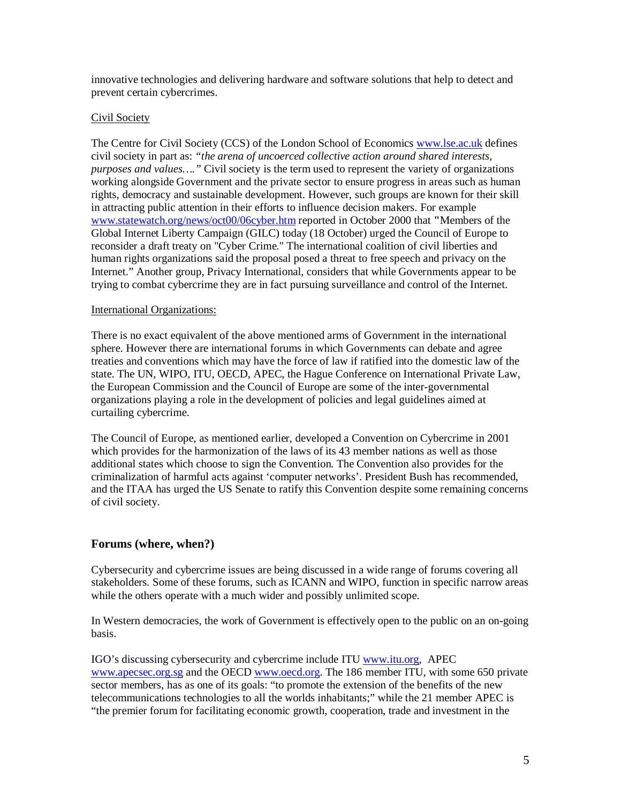innovative technologies and delivering hardware and software solutions that help to detect and prevent certain cybercrimes.

# Civil Society

The Centre for Civil Society (CCS) of the London School of Economics www.lse.ac.uk defines civil society in part as: *"the arena of uncoerced collective action around shared interests, purposes and values…."* Civil society is the term used to represent the variety of organizations working alongside Government and the private sector to ensure progress in areas such as human rights, democracy and sustainable development. However, such groups are known for their skill in attracting public attention in their efforts to influence decision makers. For example www.statewatch.org/news/oct00/06cyber.htm reported in October 2000 that **"**Members of the Global Internet Liberty Campaign (GILC) today (18 October) urged the Council of Europe to reconsider a draft treaty on "Cyber Crime." The international coalition of civil liberties and human rights organizations said the proposal posed a threat to free speech and privacy on the Internet." Another group, Privacy International, considers that while Governments appear to be trying to combat cybercrime they are in fact pursuing surveillance and control of the Internet.

### International Organizations:

There is no exact equivalent of the above mentioned arms of Government in the international sphere. However there are international forums in which Governments can debate and agree treaties and conventions which may have the force of law if ratified into the domestic law of the state. The UN, WIPO, ITU, OECD, APEC, the Hague Conference on International Private Law, the European Commission and the Council of Europe are some of the inter-governmental organizations playing a role in the development of policies and legal guidelines aimed at curtailing cybercrime.

The Council of Europe, as mentioned earlier, developed a Convention on Cybercrime in 2001 which provides for the harmonization of the laws of its 43 member nations as well as those additional states which choose to sign the Convention. The Convention also provides for the criminalization of harmful acts against 'computer networks'. President Bush has recommended, and the ITAA has urged the US Senate to ratify this Convention despite some remaining concerns of civil society.

# **Forums (where, when?)**

Cybersecurity and cybercrime issues are being discussed in a wide range of forums covering all stakeholders. Some of these forums, such as ICANN and WIPO, function in specific narrow areas while the others operate with a much wider and possibly unlimited scope.

In Western democracies, the work of Government is effectively open to the public on an on-going basis.

IGO's discussing cybersecurity and cybercrime include ITU www.itu.org, APEC www.apecsec.org.sg and the OECD www.oecd.org. The 186 member ITU, with some 650 private sector members, has as one of its goals: "to promote the extension of the benefits of the new telecommunications technologies to all the worlds inhabitants;" while the 21 member APEC is "the premier forum for facilitating economic growth, cooperation, trade and investment in the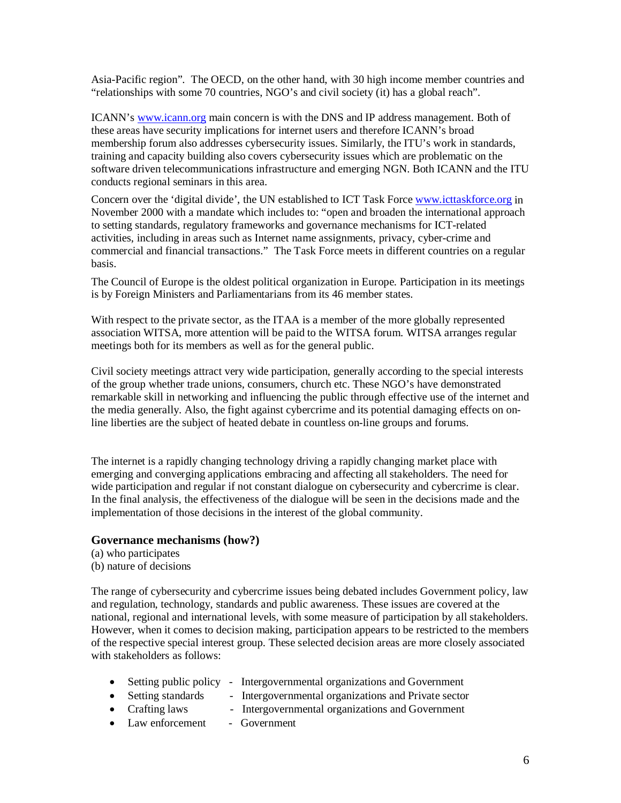Asia-Pacific region". The OECD, on the other hand, with 30 high income member countries and "relationships with some 70 countries, NGO's and civil society (it) has a global reach".

ICANN's www.icann.org main concern is with the DNS and IP address management. Both of these areas have security implications for internet users and therefore ICANN's broad membership forum also addresses cybersecurity issues. Similarly, the ITU's work in standards, training and capacity building also covers cybersecurity issues which are problematic on the software driven telecommunications infrastructure and emerging NGN. Both ICANN and the ITU conducts regional seminars in this area.

Concern over the 'digital divide', the UN established to ICT Task Force www.icttaskforce.org in November 2000 with a mandate which includes to: "open and broaden the international approach to setting standards, regulatory frameworks and governance mechanisms for ICT-related activities, including in areas such as Internet name assignments, privacy, cyber-crime and commercial and financial transactions." The Task Force meets in different countries on a regular basis.

The Council of Europe is the oldest political organization in Europe. Participation in its meetings is by Foreign Ministers and Parliamentarians from its 46 member states.

With respect to the private sector, as the ITAA is a member of the more globally represented association WITSA, more attention will be paid to the WITSA forum. WITSA arranges regular meetings both for its members as well as for the general public.

Civil society meetings attract very wide participation, generally according to the special interests of the group whether trade unions, consumers, church etc. These NGO's have demonstrated remarkable skill in networking and influencing the public through effective use of the internet and the media generally. Also, the fight against cybercrime and its potential damaging effects on online liberties are the subject of heated debate in countless on-line groups and forums.

The internet is a rapidly changing technology driving a rapidly changing market place with emerging and converging applications embracing and affecting all stakeholders. The need for wide participation and regular if not constant dialogue on cybersecurity and cybercrime is clear. In the final analysis, the effectiveness of the dialogue will be seen in the decisions made and the implementation of those decisions in the interest of the global community.

## **Governance mechanisms (how?)**

(a) who participates

(b) nature of decisions

The range of cybersecurity and cybercrime issues being debated includes Government policy, law and regulation, technology, standards and public awareness. These issues are covered at the national, regional and international levels, with some measure of participation by all stakeholders. However, when it comes to decision making, participation appears to be restricted to the members of the respective special interest group. These selected decision areas are more closely associated with stakeholders as follows:

- Setting public policy Intergovernmental organizations and Government
- Setting standards Intergovernmental organizations and Private sector
- Crafting laws Intergovernmental organizations and Government
- Law enforcement Government